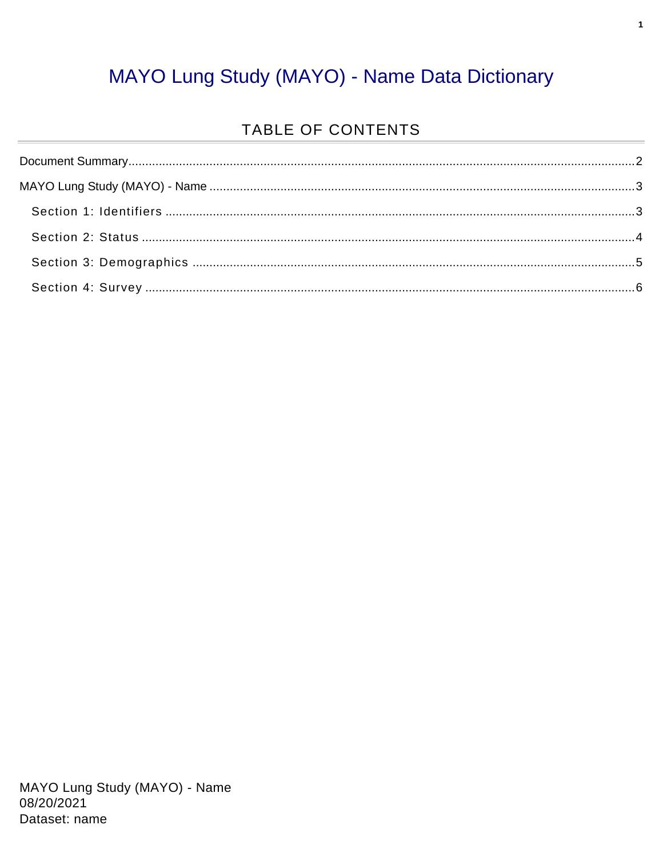### MAYO Lung Study (MAYO) - Name Data Dictionary

#### TABLE OF CONTENTS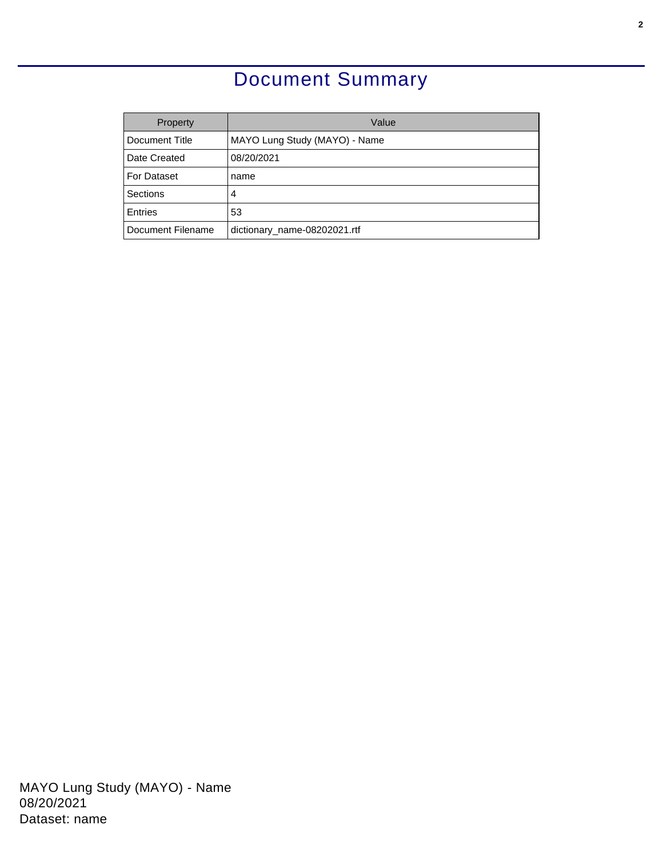### Document Summary

<span id="page-1-0"></span>

| Property          | Value                         |  |
|-------------------|-------------------------------|--|
| Document Title    | MAYO Lung Study (MAYO) - Name |  |
| Date Created      | 08/20/2021                    |  |
| For Dataset       | name                          |  |
| Sections          | 4                             |  |
| <b>Entries</b>    | 53                            |  |
| Document Filename | dictionary_name-08202021.rtf  |  |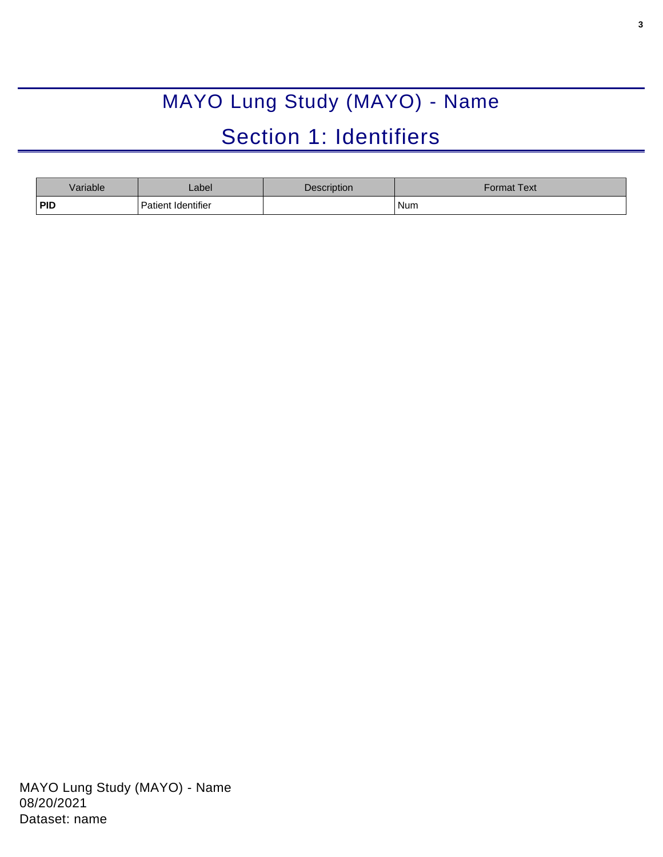# MAYO Lung Study (MAYO) - Name Section 1: Identifiers

<span id="page-2-1"></span><span id="page-2-0"></span>

| Variable   | _abel              | <b>Description</b> | Format Text <sup>l</sup> |
|------------|--------------------|--------------------|--------------------------|
| <b>PID</b> | Patient Identifier |                    | Num                      |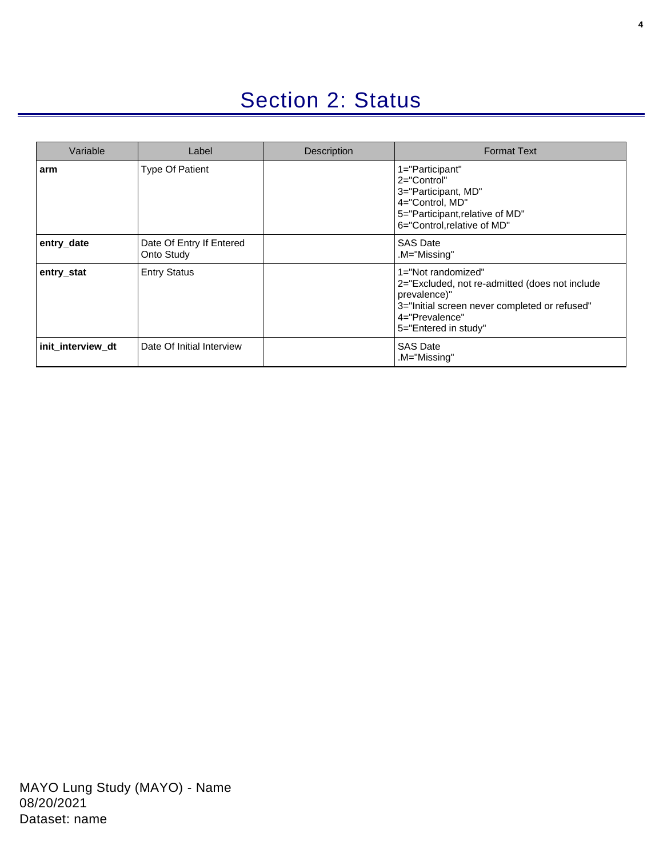### Section 2: Status

<span id="page-3-0"></span>

| Variable          | Label                                  | Description | <b>Format Text</b>                                                                                                                                                              |
|-------------------|----------------------------------------|-------------|---------------------------------------------------------------------------------------------------------------------------------------------------------------------------------|
| arm               | <b>Type Of Patient</b>                 |             | 1="Participant"<br>$2 = "Control"$<br>3="Participant, MD"<br>4="Control, MD"<br>5="Participant, relative of MD"<br>6="Control, relative of MD"                                  |
| entry_date        | Date Of Entry If Entered<br>Onto Study |             | <b>SAS Date</b><br>.M="Missing"                                                                                                                                                 |
| entry_stat        | <b>Entry Status</b>                    |             | 1="Not randomized"<br>2="Excluded, not re-admitted (does not include<br>prevalence)"<br>3="Initial screen never completed or refused"<br>4="Prevalence"<br>5="Entered in study" |
| init_interview_dt | Date Of Initial Interview              |             | <b>SAS Date</b><br>M="Missing".                                                                                                                                                 |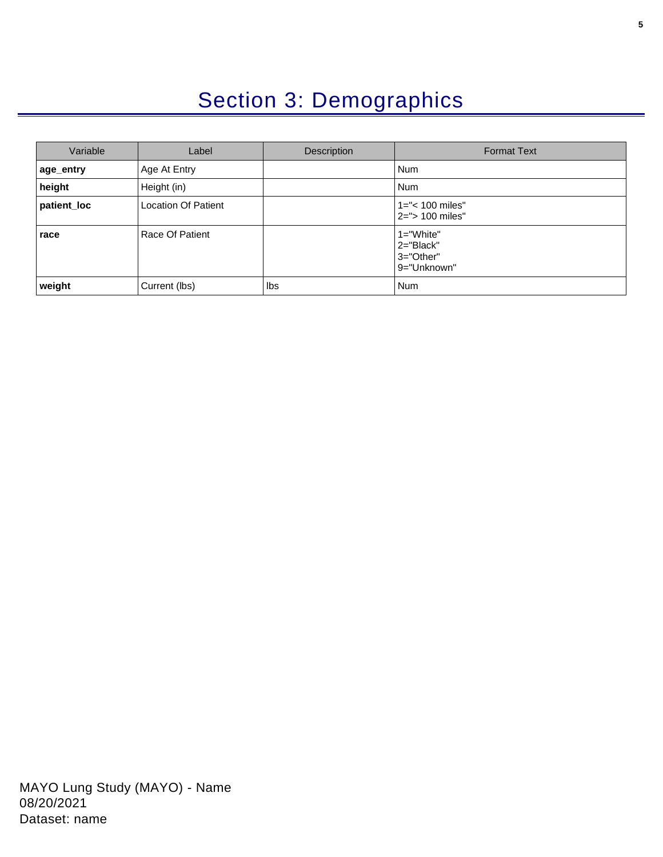## Section 3: Demographics

<span id="page-4-0"></span>

| Variable    | Label                      | Description | <b>Format Text</b>                                     |
|-------------|----------------------------|-------------|--------------------------------------------------------|
| age_entry   | Age At Entry               |             | <b>Num</b>                                             |
| height      | Height (in)                |             | <b>Num</b>                                             |
| patient_loc | <b>Location Of Patient</b> |             | $1 =$ "< 100 miles"<br>2="> 100 miles"                 |
| race        | Race Of Patient            |             | $1 = "White"$<br>2="Black"<br>3="Other"<br>9="Unknown" |
| weight      | Current (lbs)              | lbs         | <b>Num</b>                                             |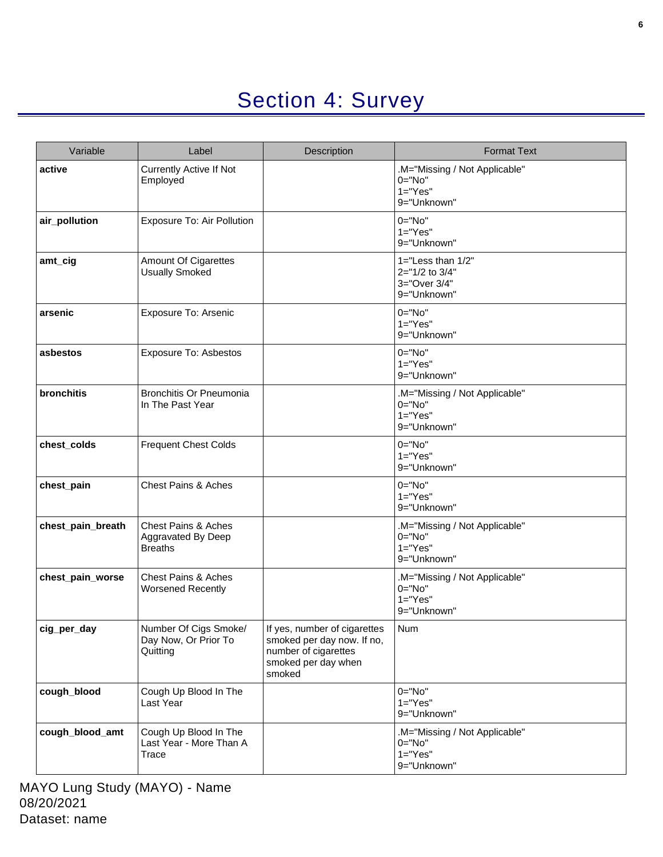# Section 4: Survey

<span id="page-5-0"></span>

| Variable          | Label                                                                  | Description                                                                                                         | <b>Format Text</b>                                                        |
|-------------------|------------------------------------------------------------------------|---------------------------------------------------------------------------------------------------------------------|---------------------------------------------------------------------------|
| active            | <b>Currently Active If Not</b><br>Employed                             |                                                                                                                     | .M="Missing / Not Applicable"<br>$0 = "No"$<br>$1 = "Yes"$<br>9="Unknown" |
| air_pollution     | Exposure To: Air Pollution                                             |                                                                                                                     | $0 = "No"$<br>$1="Yes"$<br>9="Unknown"                                    |
| amt_cig           | Amount Of Cigarettes<br><b>Usually Smoked</b>                          |                                                                                                                     | $1 =$ "Less than $1/2$ "<br>2="1/2 to 3/4"<br>3="Over 3/4"<br>9="Unknown" |
| arsenic           | Exposure To: Arsenic                                                   |                                                                                                                     | $0 = "No"$<br>$1 = "Yes"$<br>9="Unknown"                                  |
| asbestos          | <b>Exposure To: Asbestos</b>                                           |                                                                                                                     | $0 = "No"$<br>$1 = "Yes"$<br>9="Unknown"                                  |
| bronchitis        | Bronchitis Or Pneumonia<br>In The Past Year                            |                                                                                                                     | .M="Missing / Not Applicable"<br>$0 = "No"$<br>$1 = "Yes"$<br>9="Unknown" |
| chest_colds       | <b>Frequent Chest Colds</b>                                            |                                                                                                                     | $0 = "No"$<br>$1="Yes"$<br>9="Unknown"                                    |
| chest_pain        | <b>Chest Pains &amp; Aches</b>                                         |                                                                                                                     | $0 = "No"$<br>$1 = "Yes"$<br>9="Unknown"                                  |
| chest_pain_breath | <b>Chest Pains &amp; Aches</b><br>Aggravated By Deep<br><b>Breaths</b> |                                                                                                                     | .M="Missing / Not Applicable"<br>0="No"<br>$1 = "Yes"$<br>9="Unknown"     |
| chest_pain_worse  | <b>Chest Pains &amp; Aches</b><br><b>Worsened Recently</b>             |                                                                                                                     | .M="Missing / Not Applicable"<br>0="No"<br>$1="Yes"$<br>9="Unknown"       |
| cig_per_day       | Number Of Cigs Smoke/<br>Day Now, Or Prior To<br>Quitting              | If yes, number of cigarettes<br>smoked per day now. If no,<br>number of cigarettes<br>smoked per day when<br>smoked | Num                                                                       |
| cough_blood       | Cough Up Blood In The<br>Last Year                                     |                                                                                                                     | $0="No"$<br>$1 = "Yes"$<br>9="Unknown"                                    |
| cough blood amt   | Cough Up Blood In The<br>Last Year - More Than A<br>Trace              |                                                                                                                     | .M="Missing / Not Applicable"<br>$0 = "No"$<br>$1 = "Yes"$<br>9="Unknown" |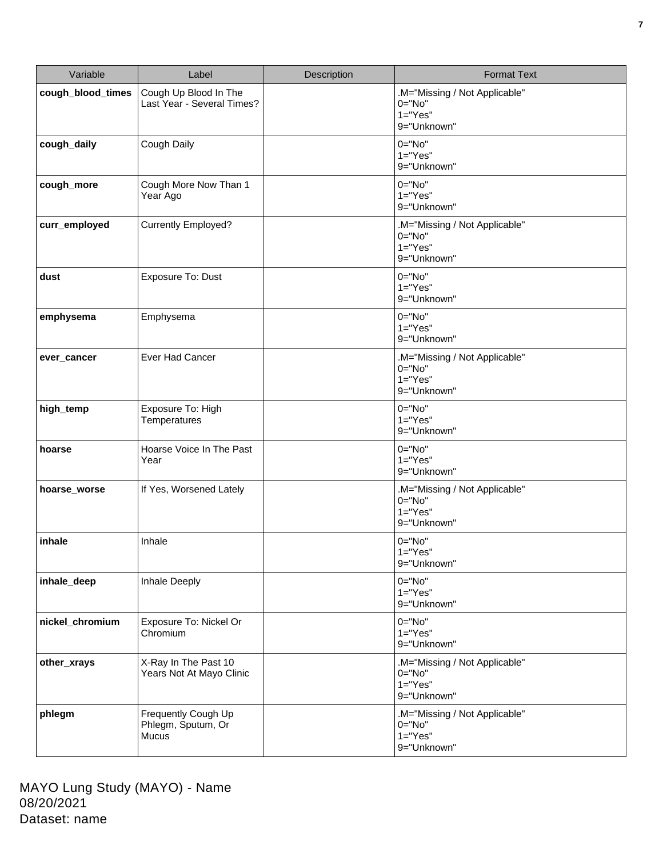| Variable          | Label                                               | Description | <b>Format Text</b>                                                      |
|-------------------|-----------------------------------------------------|-------------|-------------------------------------------------------------------------|
| cough_blood_times | Cough Up Blood In The<br>Last Year - Several Times? |             | .M="Missing / Not Applicable"<br>$0="No"$<br>$1="Yes"$<br>9="Unknown"   |
| cough_daily       | Cough Daily                                         |             | $0="No"$<br>$1="Yes"$<br>9="Unknown"                                    |
| cough_more        | Cough More Now Than 1<br>Year Ago                   |             | $0 = "No"$<br>$1="Yes"$<br>9="Unknown"                                  |
| curr_employed     | <b>Currently Employed?</b>                          |             | .M="Missing / Not Applicable"<br>$0 = "No"$<br>$1="Yes"$<br>9="Unknown" |
| dust              | Exposure To: Dust                                   |             | $0 = "No"$<br>$1="Yes"$<br>9="Unknown"                                  |
| emphysema         | Emphysema                                           |             | $0 = "No"$<br>$1="Yes"$<br>9="Unknown"                                  |
| ever_cancer       | Ever Had Cancer                                     |             | .M="Missing / Not Applicable"<br>$0 = "No"$<br>$1="Yes"$<br>9="Unknown" |
| high_temp         | Exposure To: High<br>Temperatures                   |             | $0="No"$<br>$1="Yes"$<br>9="Unknown"                                    |
| hoarse            | Hoarse Voice In The Past<br>Year                    |             | $0="No"$<br>$1="Yes"$<br>9="Unknown"                                    |
| hoarse_worse      | If Yes, Worsened Lately                             |             | .M="Missing / Not Applicable"<br>$0="No"$<br>$1="Yes"$<br>9="Unknown"   |
| inhale            | Inhale                                              |             | $0 = "No"$<br>1="Yes"<br>9="Unknown"                                    |
| inhale_deep       | Inhale Deeply                                       |             | $0="No"$<br>$1="Yes"$<br>9="Unknown"                                    |
| nickel_chromium   | Exposure To: Nickel Or<br>Chromium                  |             | $0 = "No"$<br>$1="Yes"$<br>9="Unknown"                                  |
| other_xrays       | X-Ray In The Past 10<br>Years Not At Mayo Clinic    |             | .M="Missing / Not Applicable"<br>$0="No"$<br>$1="Yes"$<br>9="Unknown"   |
| phlegm            | Frequently Cough Up<br>Phlegm, Sputum, Or<br>Mucus  |             | .M="Missing / Not Applicable"<br>$0 = "No"$<br>$1="Yes"$<br>9="Unknown" |